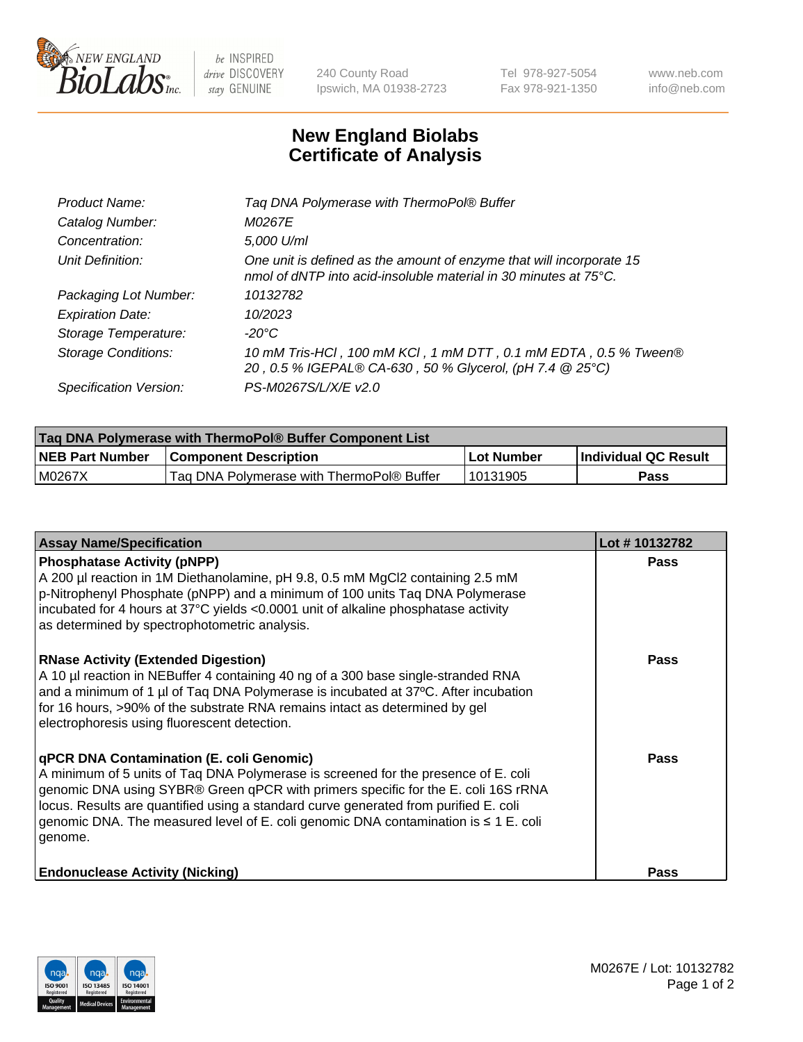

 $be$  INSPIRED drive DISCOVERY stay GENUINE

240 County Road Ipswich, MA 01938-2723 Tel 978-927-5054 Fax 978-921-1350 www.neb.com info@neb.com

## **New England Biolabs Certificate of Analysis**

| Tag DNA Polymerase with ThermoPol® Buffer                                                                                                |
|------------------------------------------------------------------------------------------------------------------------------------------|
| M0267E                                                                                                                                   |
| 5,000 U/ml                                                                                                                               |
| One unit is defined as the amount of enzyme that will incorporate 15<br>nmol of dNTP into acid-insoluble material in 30 minutes at 75°C. |
| 10132782                                                                                                                                 |
| 10/2023                                                                                                                                  |
| $-20^{\circ}$ C                                                                                                                          |
| 10 mM Tris-HCl, 100 mM KCl, 1 mM DTT, 0.1 mM EDTA, 0.5 % Tween®<br>20, 0.5 % IGEPAL® CA-630, 50 % Glycerol, (pH 7.4 @ 25°C)              |
| PS-M0267S/L/X/E v2.0                                                                                                                     |
|                                                                                                                                          |

| Taq DNA Polymerase with ThermoPol® Buffer Component List |                                           |            |                      |  |  |
|----------------------------------------------------------|-------------------------------------------|------------|----------------------|--|--|
| <b>NEB Part Number</b>                                   | <b>Component Description</b>              | Lot Number | Individual QC Result |  |  |
| M0267X                                                   | Tag DNA Polymerase with ThermoPol® Buffer | 10131905   | Pass                 |  |  |

| <b>Assay Name/Specification</b>                                                                                                                                                                                                                                                                                                                                                                                    | Lot #10132782 |
|--------------------------------------------------------------------------------------------------------------------------------------------------------------------------------------------------------------------------------------------------------------------------------------------------------------------------------------------------------------------------------------------------------------------|---------------|
| <b>Phosphatase Activity (pNPP)</b><br>A 200 µl reaction in 1M Diethanolamine, pH 9.8, 0.5 mM MgCl2 containing 2.5 mM<br>p-Nitrophenyl Phosphate (pNPP) and a minimum of 100 units Taq DNA Polymerase<br>incubated for 4 hours at 37°C yields <0.0001 unit of alkaline phosphatase activity<br>as determined by spectrophotometric analysis.                                                                        | <b>Pass</b>   |
| <b>RNase Activity (Extended Digestion)</b><br>A 10 µl reaction in NEBuffer 4 containing 40 ng of a 300 base single-stranded RNA<br>and a minimum of 1 µl of Taq DNA Polymerase is incubated at 37°C. After incubation<br>for 16 hours, >90% of the substrate RNA remains intact as determined by gel<br>electrophoresis using fluorescent detection.                                                               | <b>Pass</b>   |
| qPCR DNA Contamination (E. coli Genomic)<br>A minimum of 5 units of Taq DNA Polymerase is screened for the presence of E. coli<br>genomic DNA using SYBR® Green qPCR with primers specific for the E. coli 16S rRNA<br>locus. Results are quantified using a standard curve generated from purified E. coli<br>genomic DNA. The measured level of E. coli genomic DNA contamination is $\leq 1$ E. coli<br>genome. | <b>Pass</b>   |
| <b>Endonuclease Activity (Nicking)</b>                                                                                                                                                                                                                                                                                                                                                                             | Pass          |